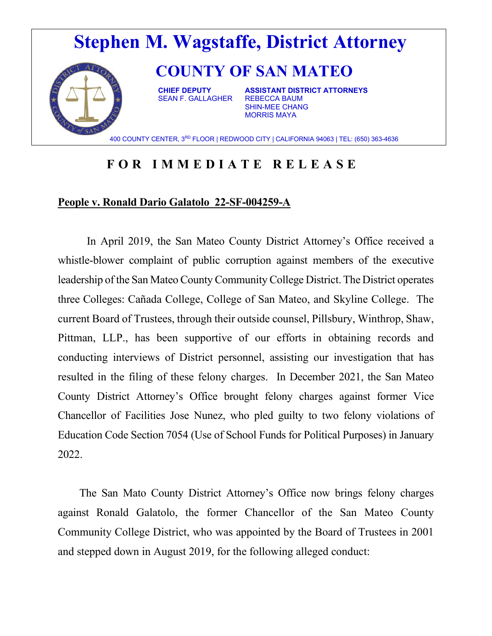

## **FOR IMMEDIATE RELEASE**

## **People v. Ronald Dario Galatolo 22-SF-004259-A**

In April 2019, the San Mateo County District Attorney's Office received a whistle-blower complaint of public corruption against members of the executive leadership of the San Mateo County Community College District. The District operates three Colleges: Cañada College, College of San Mateo, and Skyline College. The current Board of Trustees, through their outside counsel, Pillsbury, Winthrop, Shaw, Pittman, LLP., has been supportive of our efforts in obtaining records and conducting interviews of District personnel, assisting our investigation that has resulted in the filing of these felony charges. In December 2021, the San Mateo County District Attorney's Office brought felony charges against former Vice Chancellor of Facilities Jose Nunez, who pled guilty to two felony violations of Education Code Section 7054 (Use of School Funds for Political Purposes) in January 2022.

 The San Mato County District Attorney's Office now brings felony charges against Ronald Galatolo, the former Chancellor of the San Mateo County Community College District, who was appointed by the Board of Trustees in 2001 and stepped down in August 2019, for the following alleged conduct: